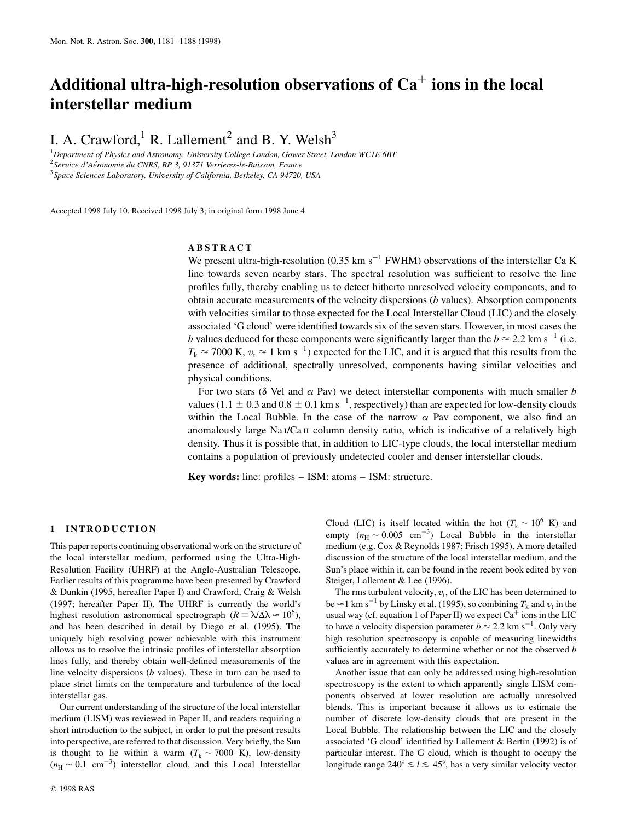# **Additional ultra-high-resolution observations of Ca**<sup>þ</sup> **ions in the local interstellar medium**

I. A. Crawford,<sup>1</sup> R. Lallement<sup>2</sup> and B. Y. Welsh<sup>3</sup>

1 *Department of Physics and Astronomy, University College London, Gower Street, London WC1E 6BT* <sup>2</sup> Service d'Aéronomie du CNRS, BP 3, 91371 Verrieres-le-Buisson, France 3 *Space Sciences Laboratory, University of California, Berkeley, CA 94720, USA*

Accepted 1998 July 10. Received 1998 July 3; in original form 1998 June 4

# **ABSTRACT**

We present ultra-high-resolution (0.35 km s<sup>-1</sup> FWHM) observations of the interstellar Ca K line towards seven nearby stars. The spectral resolution was sufficient to resolve the line profiles fully, thereby enabling us to detect hitherto unresolved velocity components, and to obtain accurate measurements of the velocity dispersions (*b* values). Absorption components with velocities similar to those expected for the Local Interstellar Cloud (LIC) and the closely associated 'G cloud' were identified towards six of the seven stars. However, in most cases the *b* values deduced for these components were significantly larger than the  $b \approx 2.2 \text{ km s}^{-1}$  (i.e.  $T_k \approx 7000$  K,  $v_t \approx 1$  km s<sup>-1</sup>) expected for the LIC, and it is argued that this results from the presence of additional, spectrally unresolved, components having similar velocities and physical conditions.

For two stars ( $\delta$  Vel and  $\alpha$  Pav) we detect interstellar components with much smaller *b* values (1.1  $\pm$  0.3 and 0.8  $\pm$  0.1 km s<sup>-1</sup>, respectively) than are expected for low-density clouds within the Local Bubble. In the case of the narrow  $\alpha$  Pav component, we also find an anomalously large Na I/Ca II column density ratio, which is indicative of a relatively high density. Thus it is possible that, in addition to LIC-type clouds, the local interstellar medium contains a population of previously undetected cooler and denser interstellar clouds.

**Key words:** line: profiles – ISM: atoms – ISM: structure.

# **1 INTRODUCTION**

This paper reports continuing observational work on the structure of the local interstellar medium, performed using the Ultra-High-Resolution Facility (UHRF) at the Anglo-Australian Telescope. Earlier results of this programme have been presented by Crawford & Dunkin (1995, hereafter Paper I) and Crawford, Craig & Welsh (1997; hereafter Paper II). The UHRF is currently the world's highest resolution astronomical spectrograph ( $R \equiv \lambda/\Delta \lambda \approx 10^6$ ), and has been described in detail by Diego et al. (1995). The uniquely high resolving power achievable with this instrument allows us to resolve the intrinsic profiles of interstellar absorption lines fully, and thereby obtain well-defined measurements of the line velocity dispersions (*b* values). These in turn can be used to place strict limits on the temperature and turbulence of the local interstellar gas.

Our current understanding of the structure of the local interstellar medium (LISM) was reviewed in Paper II, and readers requiring a short introduction to the subject, in order to put the present results into perspective, are referred to that discussion. Very briefly, the Sun is thought to lie within a warm  $(T_k \sim 7000 \text{ K})$ , low-density  $(n_{\rm H} \sim 0.1 \text{ cm}^{-3})$  interstellar cloud, and this Local Interstellar

© 1998 RAS

Cloud (LIC) is itself located within the hot ( $T_k \sim 10^6$  K) and empty  $(n_H \sim 0.005 \text{ cm}^{-3})$  Local Bubble in the interstellar medium (e.g. Cox & Reynolds 1987; Frisch 1995). A more detailed discussion of the structure of the local interstellar medium, and the Sun's place within it, can be found in the recent book edited by von Steiger, Lallement & Lee (1996).

The rms turbulent velocity,  $v_t$ , of the LIC has been determined to be  $\approx$ 1 km s<sup>-1</sup> by Linsky et al. (1995), so combining  $T_k$  and  $v_t$  in the usual way (cf. equation 1 of Paper II) we expect  $Ca^+$  ions in the LIC to have a velocity dispersion parameter  $b \approx 2.2 \text{ km s}^{-1}$ . Only very high resolution spectroscopy is capable of measuring linewidths sufficiently accurately to determine whether or not the observed *b* values are in agreement with this expectation.

Another issue that can only be addressed using high-resolution spectroscopy is the extent to which apparently single LISM components observed at lower resolution are actually unresolved blends. This is important because it allows us to estimate the number of discrete low-density clouds that are present in the Local Bubble. The relationship between the LIC and the closely associated 'G cloud' identified by Lallement & Bertin (1992) is of particular interest. The G cloud, which is thought to occupy the longitude range  $240^{\circ} \le l \le 45^{\circ}$ , has a very similar velocity vector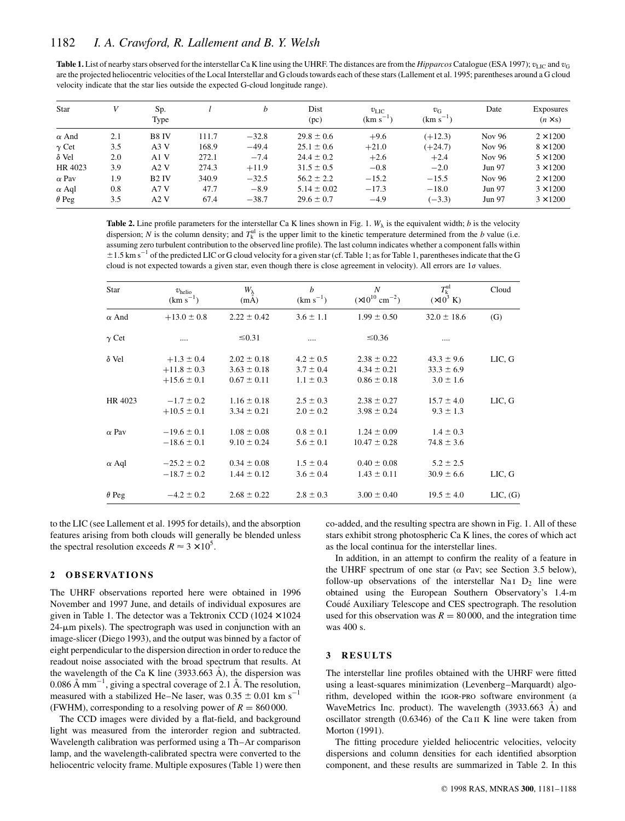| <b>Table 1.</b> List of nearby stars observed for the interstellar Ca K line using the UHRF. The distances are from the <i>Hipparcos</i> Catalogue (ESA 1997); $v_{\text{LIC}}$ and $v_{\text{G}}$ |
|----------------------------------------------------------------------------------------------------------------------------------------------------------------------------------------------------|
| are the projected heliocentric velocities of the Local Interstellar and G clouds towards each of these stars (Lallement et al. 1995; parentheses around a G cloud                                  |
| velocity indicate that the star lies outside the expected G-cloud longitude range).                                                                                                                |

| Star         |     | Sp.<br>Type       |       | b       | Dist<br>(pc)    | $v_{\rm{LIC}}$<br>(km s <sup>-</sup> | $v_{\rm G}$<br>$(km s-)$ | Date   | <b>Exposures</b><br>$(n \times s)$ |
|--------------|-----|-------------------|-------|---------|-----------------|--------------------------------------|--------------------------|--------|------------------------------------|
| $\alpha$ And | 2.1 | B8 IV             | 111.7 | $-32.8$ | $29.8 \pm 0.6$  | $+9.6$                               | $(+12.3)$                | Nov 96 | $2 \times 1200$                    |
| $\gamma$ Cet | 3.5 | A3V               | 168.9 | $-49.4$ | $25.1 \pm 0.6$  | $+21.0$                              | $(+24.7)$                | Nov 96 | $8 \times 1200$                    |
| $\delta$ Vel | 2.0 | A1V               | 272.1 | $-7.4$  | $24.4 \pm 0.2$  | $+2.6$                               | $+2.4$                   | Nov 96 | $5 \times 1200$                    |
| HR 4023      | 3.9 | A2V               | 274.3 | $+11.9$ | $31.5 \pm 0.5$  | $-0.8$                               | $-2.0$                   | Jun 97 | $3 \times 1200$                    |
| $\alpha$ Pay | 1.9 | B <sub>2</sub> IV | 340.9 | $-32.5$ | $56.2 \pm 2.2$  | $-15.2$                              | $-15.5$                  | Nov 96 | $2 \times 1200$                    |
| $\alpha$ Aql | 0.8 | A7V               | 47.7  | $-8.9$  | $5.14 \pm 0.02$ | $-17.3$                              | $-18.0$                  | Jun 97 | $3 \times 1200$                    |
| $\theta$ Peg | 3.5 | A2V               | 67.4  | $-38.7$ | $29.6 \pm 0.7$  | $-4.9$                               | $(-3.3)$                 | Jun 97 | $3 \times 1200$                    |

**Table 2.** Line profile parameters for the interstellar Ca K lines shown in Fig. 1.  $W_{\lambda}$  is the equivalent width; *b* is the velocity dispersion; *N* is the column density; and  $T_k^{\text{ul}}$  is the upper limit to the kinetic temperature determined from the *b* value (i.e. assuming zero turbulent contribution to the observed line profile). The last column indicates whether a component falls within  $\pm$ 1.5 km s<sup>-1</sup> of the predicted LIC or G cloud velocity for a given star (cf. Table 1; as for Table 1, parentheses indicate that the G cloud is not expected towards a given star, even though there is close agreement in velocity). All errors are 1*o* values.

| <b>Star</b>  | $v_{\text{helio}}$<br>$(km s^{-1})$                  | $W_{\lambda}$<br>(mA)                                 | b<br>$(km s^{-1})$                              | N<br>$(\times 10^{10}$ cm <sup>-2</sup> )             | $T_{k}^{\mathrm{ul}}$<br>$(\times 10^3 \text{ K})$ | Cloud         |
|--------------|------------------------------------------------------|-------------------------------------------------------|-------------------------------------------------|-------------------------------------------------------|----------------------------------------------------|---------------|
| $\alpha$ And | $+13.0 \pm 0.8$                                      | $2.22 \pm 0.42$                                       | $3.6 \pm 1.1$                                   | $1.99 \pm 0.50$                                       | $32.0 \pm 18.6$                                    | (G)           |
| $\gamma$ Cet |                                                      | $\leq 0.31$                                           | .                                               | $\leq 0.36$                                           |                                                    |               |
| $\delta$ Vel | $+1.3 \pm 0.4$<br>$+11.8 \pm 0.3$<br>$+15.6 \pm 0.1$ | $2.02 \pm 0.18$<br>$3.63 \pm 0.18$<br>$0.67 \pm 0.11$ | $4.2 \pm 0.5$<br>$3.7 \pm 0.4$<br>$1.1 \pm 0.3$ | $2.38 \pm 0.22$<br>$4.34 \pm 0.21$<br>$0.86 \pm 0.18$ | $43.3 \pm 9.6$<br>$33.3 \pm 6.9$<br>$3.0 \pm 1.6$  | LIC, G        |
| HR 4023      | $-1.7 \pm 0.2$<br>$+10.5 \pm 0.1$                    | $1.16 \pm 0.18$<br>$3.34 \pm 0.21$                    | $2.5 \pm 0.3$<br>$2.0 \pm 0.2$                  | $2.38 \pm 0.27$<br>$3.98 \pm 0.24$                    | $15.7 \pm 4.0$<br>$9.3 \pm 1.3$                    | LIC, G        |
| $\alpha$ Pav | $-19.6 \pm 0.1$<br>$-18.6 \pm 0.1$                   | $1.08 \pm 0.08$<br>$9.10 \pm 0.24$                    | $0.8 \pm 0.1$<br>$5.6 \pm 0.1$                  | $1.24 \pm 0.09$<br>$10.47 \pm 0.28$                   | $1.4 \pm 0.3$<br>$74.8 \pm 3.6$                    |               |
| $\alpha$ Aql | $-25.2 \pm 0.2$<br>$-18.7 \pm 0.2$                   | $0.34 \pm 0.08$<br>$1.44 \pm 0.12$                    | $1.5 \pm 0.4$<br>$3.6 \pm 0.4$                  | $0.40 \pm 0.08$<br>$1.43 \pm 0.11$                    | $5.2 \pm 2.5$<br>$30.9 \pm 6.6$                    | LIC, G        |
| $\theta$ Peg | $-4.2 \pm 0.2$                                       | $2.68 \pm 0.22$                                       | $2.8 \pm 0.3$                                   | $3.00 \pm 0.40$                                       | $19.5 \pm 4.0$                                     | $LIC$ , $(G)$ |

to the LIC (see Lallement et al. 1995 for details), and the absorption features arising from both clouds will generally be blended unless the spectral resolution exceeds  $R \approx 3 \times 10^5$ .

#### **2 O B S E RVAT I O N S**

The UHRF observations reported here were obtained in 1996 November and 1997 June, and details of individual exposures are given in Table 1. The detector was a Tektronix CCD ( $1024 \times 1024$ )  $24$ - $\mu$ m pixels). The spectrograph was used in conjunction with an image-slicer (Diego 1993), and the output was binned by a factor of eight perpendicular to the dispersion direction in order to reduce the readout noise associated with the broad spectrum that results. At the wavelength of the Ca K line  $(3933.663 \text{ Å})$ , the dispersion was 0.086 Å mm<sup>-1</sup>, giving a spectral coverage of 2.1 Å. The resolution, measured with a stabilized He–Ne laser, was  $0.35 \pm 0.01$  km s<sup>-1</sup> (FWHM), corresponding to a resolving power of  $R = 860000$ .

The CCD images were divided by a flat-field, and background light was measured from the interorder region and subtracted. Wavelength calibration was performed using a Th–Ar comparison lamp, and the wavelength-calibrated spectra were converted to the heliocentric velocity frame. Multiple exposures (Table 1) were then co-added, and the resulting spectra are shown in Fig. 1. All of these stars exhibit strong photospheric Ca K lines, the cores of which act as the local continua for the interstellar lines.

In addition, in an attempt to confirm the reality of a feature in the UHRF spectrum of one star ( $\alpha$  Pav; see Section 3.5 below), follow-up observations of the interstellar Na<sub>I</sub>  $D_2$  line were obtained using the European Southern Observatory's 1.4-m Coudé Auxiliary Telescope and CES spectrograph. The resolution used for this observation was  $R = 80,000$ , and the integration time was 400 s.

#### **3 RESULTS**

The interstellar line profiles obtained with the UHRF were fitted using a least-squares minimization (Levenberg–Marquardt) algorithm, developed within the igor-pro software environment (a WaveMetrics Inc. product). The wavelength  $(3933.663 \text{ Å})$  and oscillator strength  $(0.6346)$  of the Ca II K line were taken from Morton (1991).

The fitting procedure yielded heliocentric velocities, velocity dispersions and column densities for each identified absorption component, and these results are summarized in Table 2. In this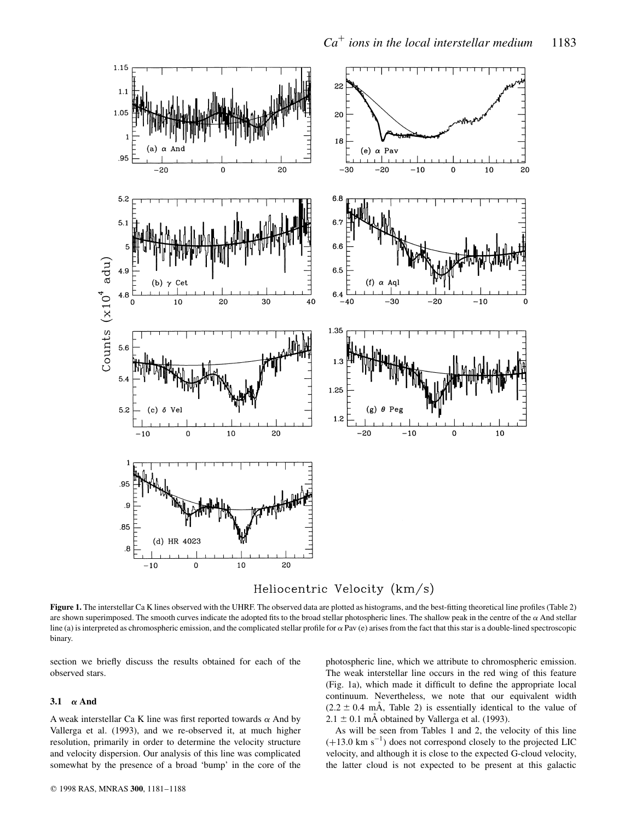

Heliocentric Velocity (km/s)

**Figure 1.** The interstellar Ca K lines observed with the UHRF. The observed data are plotted as histograms, and the best-fitting theoretical line profiles (Table 2) are shown superimposed. The smooth curves indicate the adopted fits to the broad stellar photospheric lines. The shallow peak in the centre of the  $\alpha$  And stellar line (a) is interpreted as chromospheric emission, and the complicated stellar profile for  $\alpha$  Pav (e) arises from the fact that this star is a double-lined spectroscopic binary.

section we briefly discuss the results obtained for each of the observed stars.

## 3.1  $\alpha$  **And**

A weak interstellar Ca K line was first reported towards  $\alpha$  And by Vallerga et al. (1993), and we re-observed it, at much higher resolution, primarily in order to determine the velocity structure and velocity dispersion. Our analysis of this line was complicated somewhat by the presence of a broad 'bump' in the core of the photospheric line, which we attribute to chromospheric emission. The weak interstellar line occurs in the red wing of this feature (Fig. 1a), which made it difficult to define the appropriate local continuum. Nevertheless, we note that our equivalent width  $(2.2 \pm 0.4 \text{ mA}, \text{Table 2})$  is essentially identical to the value of  $2.1 \pm 0.1$  mÅ obtained by Vallerga et al. (1993).

As will be seen from Tables 1 and 2, the velocity of this line  $(+13.0 \text{ km s}^{-1})$  does not correspond closely to the projected LIC velocity, and although it is close to the expected G-cloud velocity, the latter cloud is not expected to be present at this galactic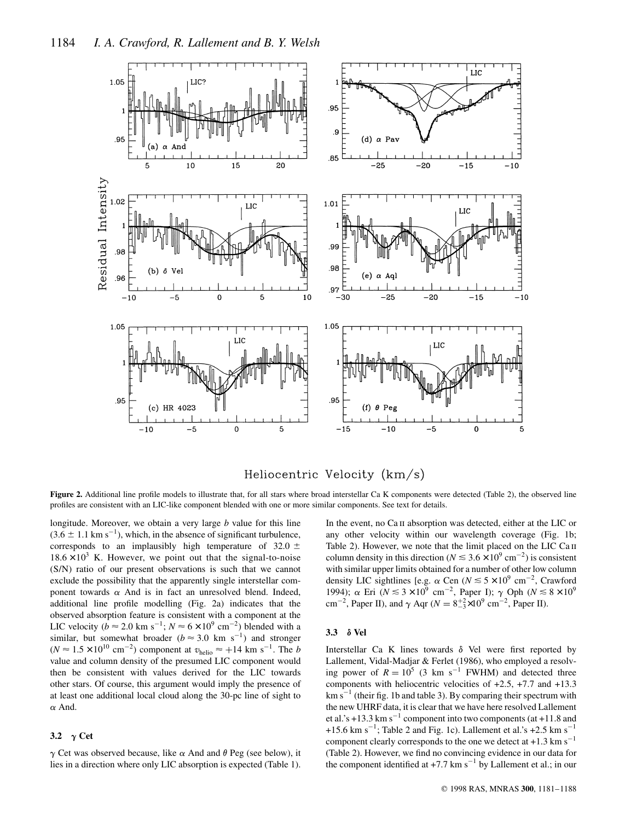

# Heliocentric Velocity (km/s)

Figure 2. Additional line profile models to illustrate that, for all stars where broad interstellar Ca K components were detected (Table 2), the observed line profiles are consistent with an LIC-like component blended with one or more similar components. See text for details.

longitude. Moreover, we obtain a very large *b* value for this line  $(3.6 \pm 1.1 \text{ km s}^{-1})$ , which, in the absence of significant turbulence, corresponds to an implausibly high temperature of 32.0  $\pm$  $18.6 \times 10^3$  K. However, we point out that the signal-to-noise (S/N) ratio of our present observations is such that we cannot exclude the possibility that the apparently single interstellar component towards  $\alpha$  And is in fact an unresolved blend. Indeed, additional line profile modelling (Fig. 2a) indicates that the observed absorption feature is consistent with a component at the LIC velocity ( $b \approx 2.0 \text{ km s}^{-1}$ ;  $N \approx 6 \times 10^9 \text{ cm}^{-2}$ ) blended with a similar, but somewhat broader ( $b \approx 3.0 \text{ km s}^{-1}$ ) and stronger  $(N \approx 1.5 \times 10^{10} \text{ cm}^{-2})$  component at  $v_{\text{helio}} \approx +14 \text{ km s}^{-1}$ . The *b* value and column density of the presumed LIC component would then be consistent with values derived for the LIC towards other stars. Of course, this argument would imply the presence of at least one additional local cloud along the 30-pc line of sight to  $\alpha$  And.

# 3.2  $\gamma$  Cet

 $\gamma$  Cet was observed because, like  $\alpha$  And and  $\theta$  Peg (see below), it lies in a direction where only LIC absorption is expected (Table 1). In the event, no Ca II absorption was detected, either at the LIC or any other velocity within our wavelength coverage (Fig. 1b; Table 2). However, we note that the limit placed on the LIC Ca II column density in this direction ( $N \leq 3.6 \times 10^9$  cm<sup>-2</sup>) is consistent with similar upper limits obtained for a number of other low column density LIC sightlines [e.g.  $\alpha$  Cen ( $N \le 5 \times 10^9$  cm<sup>-2</sup>, Crawford 1994);  $\alpha$  Eri ( $N \le 3 \times 10^9$  cm<sup>-2</sup>, Paper I);  $\gamma$  Oph ( $N \le 8 \times 10^9$ cm<sup>-2</sup>, Paper II), and  $\gamma$  Aqr ( $N = 8^{+2}_{-3} \times 10^9$  cm<sup>-2</sup>, Paper II).

### **3.3** d **Vel**

Interstellar Ca K lines towards  $\delta$  Vel were first reported by Lallement, Vidal-Madjar & Ferlet (1986), who employed a resolving power of  $R = 10^5$  (3 km s<sup>-1</sup> FWHM) and detected three components with heliocentric velocities of +2.5, +7.7 and +13.3  $km s^{-1}$  (their fig. 1b and table 3). By comparing their spectrum with the new UHRF data, it is clear that we have here resolved Lallement et al.'s +13.3 km  $s^{-1}$  component into two components (at +11.8 and +15.6 km s<sup>-1</sup>; Table 2 and Fig. 1c). Lallement et al.'s +2.5 km s<sup>-1</sup> component clearly corresponds to the one we detect at  $+1.3$  km s<sup>-1</sup> (Table 2). However, we find no convincing evidence in our data for the component identified at  $+7.7 \text{ km s}^{-1}$  by Lallement et al.; in our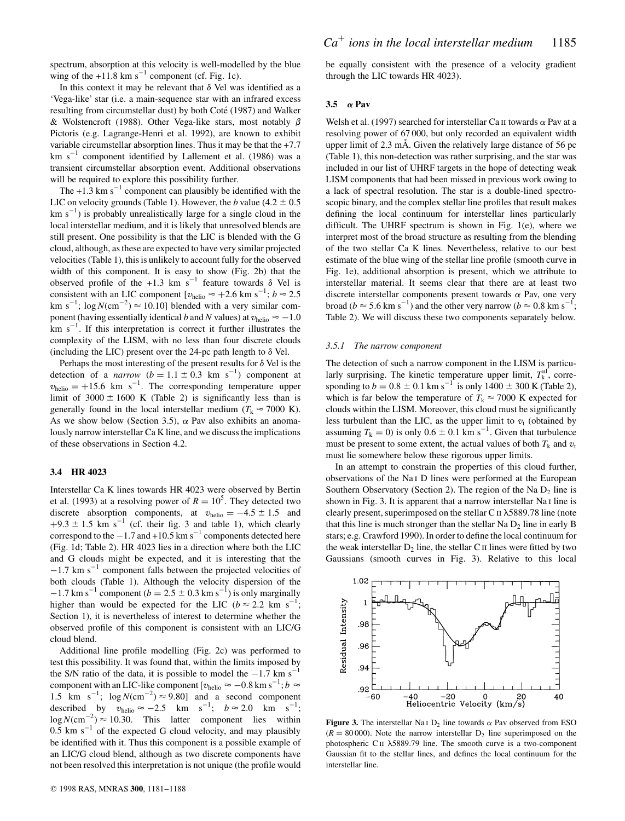spectrum, absorption at this velocity is well-modelled by the blue wing of the  $+11.8$  km s<sup>-1</sup> component (cf. Fig. 1c).

In this context it may be relevant that  $\delta$  Vel was identified as a 'Vega-like' star (i.e. a main-sequence star with an infrared excess resulting from circumstellar dust) by both Coté (1987) and Walker & Wolstencroft (1988). Other Vega-like stars, most notably  $\beta$ Pictoris (e.g. Lagrange-Henri et al. 1992), are known to exhibit variable circumstellar absorption lines. Thus it may be that the +7.7  $km s<sup>-1</sup>$  component identified by Lallement et al. (1986) was a transient circumstellar absorption event. Additional observations will be required to explore this possibility further.

The  $+1.3$  km s<sup>-1</sup> component can plausibly be identified with the LIC on velocity grounds (Table 1). However, the *b* value (4.2  $\pm$  0.5  $km s<sup>-1</sup>$ ) is probably unrealistically large for a single cloud in the local interstellar medium, and it is likely that unresolved blends are still present. One possibility is that the LIC is blended with the G cloud, although, as these are expected to have very similar projected velocities (Table 1), this is unlikely to account fully for the observed width of this component. It is easy to show (Fig. 2b) that the observed profile of the +1.3 km s<sup>-1</sup> feature towards  $\delta$  Vel is consistent with an LIC component  $[v_{helio} \approx +2.6 \text{ km s}^{-1}; b \approx 2.5$ km s<sup>-1</sup>;  $\log N$ (cm<sup>-2</sup>)  $\approx$  10.10] blended with a very similar component (having essentially identical *b* and *N* values) at  $v_{helio} \approx -1.0$  $km s<sup>-1</sup>$ . If this interpretation is correct it further illustrates the complexity of the LISM, with no less than four discrete clouds (including the LIC) present over the 24-pc path length to  $\delta$  Vel.

Perhaps the most interesting of the present results for  $\delta$  Vel is the detection of a *narrow*  $(b = 1.1 \pm 0.3$  km s<sup>-1</sup>) component at  $v_{helio} = +15.6$  km s<sup>-1</sup>. The corresponding temperature upper limit of  $3000 \pm 1600$  K (Table 2) is significantly less than is generally found in the local interstellar medium ( $T_k \approx 7000$  K). As we show below (Section 3.5),  $\alpha$  Pav also exhibits an anomalously narrow interstellar Ca K line, and we discuss the implications of these observations in Section 4.2.

#### **3.4 HR 4023**

Interstellar Ca K lines towards HR 4023 were observed by Bertin et al. (1993) at a resolving power of  $R = 10^5$ . They detected two discrete absorption components, at  $v_{helio} = -4.5 \pm 1.5$  and  $+9.3 \pm 1.5$  km s<sup>-1</sup> (cf. their fig. 3 and table 1), which clearly correspond to the  $-1.7$  and  $+10.5$  km s<sup>-1</sup> components detected here (Fig. 1d; Table 2). HR 4023 lies in a direction where both the LIC and G clouds might be expected, and it is interesting that the  $-1.7$  km s<sup> $-1$ </sup> component falls between the projected velocities of both clouds (Table 1). Although the velocity dispersion of the  $-1.7$  km s<sup>-1</sup> component ( $b = 2.5 \pm 0.3$  km s<sup>-1</sup>) is only marginally higher than would be expected for the LIC ( $b \approx 2.2$  km s<sup>-1</sup>; Section 1), it is nevertheless of interest to determine whether the observed profile of this component is consistent with an LIC/G cloud blend.

Additional line profile modelling (Fig. 2c) was performed to test this possibility. It was found that, within the limits imposed by the S/N ratio of the data, it is possible to model the  $-1.7$  km s<sup>-1</sup> component with an LIC-like component  $[v_{helio} \approx -0.8 \text{ km s}^{-1}; b \approx$ 1.5 km s<sup>-1</sup>;  $\log N$ (cm<sup>-2</sup>)  $\approx$  9.80] and a second component described by  $v_{\text{helio}} \approx -2.5 \text{ km s}^{-1}; b \approx 2.0 \text{ km s}^{-1};$  $\log N$ (cm<sup>-2</sup>)  $\approx$  10.30. This latter component lies within  $0.5$  km s<sup>-1</sup> of the expected G cloud velocity, and may plausibly be identified with it. Thus this component is a possible example of an LIC/G cloud blend, although as two discrete components have not been resolved this interpretation is not unique (the profile would be equally consistent with the presence of a velocity gradient through the LIC towards HR 4023).

#### **3.5** a **Pav**

Welsh et al. (1997) searched for interstellar Ca II towards  $\alpha$  Pav at a resolving power of 67 000, but only recorded an equivalent width upper limit of  $2.3 \text{ mA}$ . Given the relatively large distance of  $56 \text{ pc}$ (Table 1), this non-detection was rather surprising, and the star was included in our list of UHRF targets in the hope of detecting weak LISM components that had been missed in previous work owing to a lack of spectral resolution. The star is a double-lined spectroscopic binary, and the complex stellar line profiles that result makes defining the local continuum for interstellar lines particularly difficult. The UHRF spectrum is shown in Fig. 1(e), where we interpret most of the broad structure as resulting from the blending of the two stellar Ca K lines. Nevertheless, relative to our best estimate of the blue wing of the stellar line profile (smooth curve in Fig. 1e), additional absorption is present, which we attribute to interstellar material. It seems clear that there are at least two discrete interstellar components present towards  $\alpha$  Pav, one very broad ( $b \approx 5.6 \text{ km s}^{-1}$ ) and the other very narrow ( $b \approx 0.8 \text{ km s}^{-1}$ ; Table 2). We will discuss these two components separately below.

#### *3.5.1 The narrow component*

The detection of such a narrow component in the LISM is particularly surprising. The kinetic temperature upper limit,  $T_k^{\text{ul}}$ , corresponding to  $b = 0.8 \pm 0.1$  km s<sup>-1</sup> is only 1400  $\pm$  300 K (Table 2), which is far below the temperature of  $T_k \approx 7000$  K expected for clouds within the LISM. Moreover, this cloud must be significantly less turbulent than the LIC, as the upper limit to  $v_t$  (obtained by assuming  $T_k = 0$ ) is only  $0.6 \pm 0.1$  km s<sup>-1</sup>. Given that turbulence must be present to some extent, the actual values of both  $T_k$  and  $v_t$ must lie somewhere below these rigorous upper limits.

In an attempt to constrain the properties of this cloud further, observations of the Na i D lines were performed at the European Southern Observatory (Section 2). The region of the Na  $D_2$  line is shown in Fig. 3. It is apparent that a narrow interstellar Na<sub>I</sub> line is clearly present, superimposed on the stellar C  $\text{II}$   $\lambda$ 5889.78 line (note that this line is much stronger than the stellar Na  $D_2$  line in early B stars; e.g. Crawford 1990). In order to define the local continuum for the weak interstellar  $D_2$  line, the stellar C  $\text{II}$  lines were fitted by two Gaussians (smooth curves in Fig. 3). Relative to this local



**Figure 3.** The interstellar Na<sub>I</sub> D<sub>2</sub> line towards  $\alpha$  Pav observed from ESO  $(R = 80000)$ . Note the narrow interstellar D<sub>2</sub> line superimposed on the photospheric  $C \text{II}$   $\lambda$ 5889.79 line. The smooth curve is a two-component Gaussian fit to the stellar lines, and defines the local continuum for the interstellar line.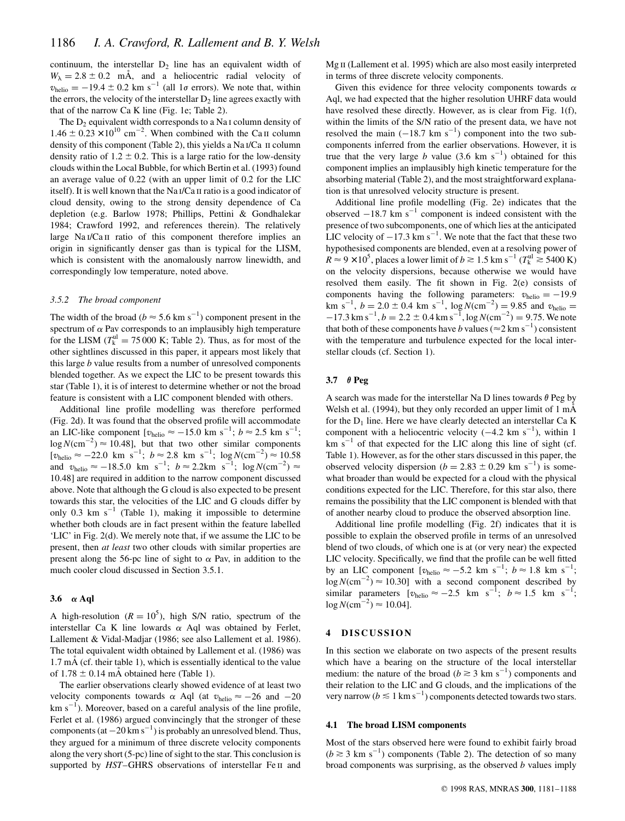continuum, the interstellar  $D_2$  line has an equivalent width of  $W_{\lambda} = 2.8 \pm 0.2$  mÅ, and a heliocentric radial velocity of  $v_{helio} = -19.4 \pm 0.2$  km s<sup>-1</sup> (all 1 $\sigma$  errors). We note that, within the errors, the velocity of the interstellar  $D<sub>2</sub>$  line agrees exactly with that of the narrow Ca K line (Fig. 1e; Table 2).

The  $D<sub>2</sub>$  equivalent width corresponds to a Na<sub>I</sub> column density of  $1.46 \pm 0.23 \times 10^{10}$  cm<sup>-2</sup>. When combined with the Ca<sub>II</sub> column density of this component (Table 2), this yields a Na i/Ca ii column density ratio of  $1.2 \pm 0.2$ . This is a large ratio for the low-density clouds within the Local Bubble, for which Bertin et al. (1993) found an average value of 0.22 (with an upper limit of 0.2 for the LIC itself). It is well known that the Na i/Ca ii ratio is a good indicator of cloud density, owing to the strong density dependence of Ca depletion (e.g. Barlow 1978; Phillips, Pettini & Gondhalekar 1984; Crawford 1992, and references therein). The relatively large Na<sub>I</sub>/Ca<sub>II</sub> ratio of this component therefore implies an origin in significantly denser gas than is typical for the LISM, which is consistent with the anomalously narrow linewidth, and correspondingly low temperature, noted above.

#### *3.5.2 The broad component*

The width of the broad ( $b \approx 5.6 \text{ km s}^{-1}$ ) component present in the spectrum of  $\alpha$  Pav corresponds to an implausibly high temperature for the LISM  $(T_k^{\text{ul}} = 75\,000 \text{ K}$ ; Table 2). Thus, as for most of the other sightlines discussed in this paper, it appears most likely that this large *b* value results from a number of unresolved components blended together. As we expect the LIC to be present towards this star (Table 1), it is of interest to determine whether or not the broad feature is consistent with a LIC component blended with others.

Additional line profile modelling was therefore performed (Fig. 2d). It was found that the observed profile will accommodate an LIC-like component  $[v_{helio} \approx -15.0 \text{ km s}^{-1}; b \approx 2.5 \text{ km s}^{-1};$  $\log N$ (cm<sup>-2</sup>)  $\approx$  10.48], but that two other similar components  $[v_{helio} \approx -22.0 \text{ km s}^{-1}; b \approx 2.8 \text{ km s}^{-1}; \log N(\text{cm}^{-2}) \approx 10.58$ and  $v_{\text{helio}} \approx -18.5.0 \text{ km s}^{-1}$ ;  $b \approx 2.2 \text{ km s}^{-1}$ ;  $\log N(\text{cm}^{-2}) \approx$ 10:48] are required in addition to the narrow component discussed above. Note that although the G cloud is also expected to be present towards this star, the velocities of the LIC and G clouds differ by only 0.3 km  $s^{-1}$  (Table 1), making it impossible to determine whether both clouds are in fact present within the feature labelled 'LIC' in Fig. 2(d). We merely note that, if we assume the LIC to be present, then *at least* two other clouds with similar properties are present along the 56-pc line of sight to  $\alpha$  Pav, in addition to the much cooler cloud discussed in Section 3.5.1.

#### **3.6** a **Aql**

A high-resolution  $(R = 10^5)$ , high S/N ratio, spectrum of the interstellar Ca K line lowards  $\alpha$  Aql was obtained by Ferlet, Lallement & Vidal-Madjar (1986; see also Lallement et al. 1986). The total equivalent width obtained by Lallement et al. (1986) was  $1.7 \text{ mA}$  (cf. their table 1), which is essentially identical to the value of  $1.78 \pm 0.14$  mÅ obtained here (Table 1).

The earlier observations clearly showed evidence of at least two velocity components towards  $\alpha$  Aql (at  $v_{helio} \approx -26$  and  $-20$  $km s<sup>-1</sup>$ ). Moreover, based on a careful analysis of the line profile, Ferlet et al. (1986) argued convincingly that the stronger of these components (at  $-20 \text{ km s}^{-1}$ ) is probably an unresolved blend. Thus, they argued for a minimum of three discrete velocity components along the very short (5-pc) line of sight to the star. This conclusion is supported by *HST*–GHRS observations of interstellar Fe II and Mg<sub>II</sub> (Lallement et al. 1995) which are also most easily interpreted in terms of three discrete velocity components.

Given this evidence for three velocity components towards  $\alpha$ Aql, we had expected that the higher resolution UHRF data would have resolved these directly. However, as is clear from Fig. 1(f), within the limits of the S/N ratio of the present data, we have not resolved the main  $(-18.7 \text{ km s}^{-1})$  component into the two subcomponents inferred from the earlier observations. However, it is true that the very large *b* value  $(3.6 \text{ km s}^{-1})$  obtained for this component implies an implausibly high kinetic temperature for the absorbing material (Table 2), and the most straightforward explanation is that unresolved velocity structure is present.

Additional line profile modelling (Fig. 2e) indicates that the observed  $-18.7$  km s<sup>-1</sup> component is indeed consistent with the presence of two subcomponents, one of which lies at the anticipated LIC velocity of  $-17.3 \text{ km s}^{-1}$ . We note that the fact that these two hypothesised components are blended, even at a resolving power of  $R \approx 9 \times 10^5$ , places a lower limit of  $b \gtrsim 1.5$  km s<sup>-1</sup> ( $T_k^{\text{ul}} \gtrsim 5400$  K) on the velocity dispersions, because otherwise we would have resolved them easily. The fit shown in Fig. 2(e) consists of components having the following parameters:  $v_{helio} = -19.9$ km s<sup>-1</sup>,  $b = 2.0 \pm 0.4$  km s<sup>-1</sup>,  $\log N(\text{cm}^{-2}) = 9.85$  and  $v_{\text{helio}} =$  $-17.3 \text{ km s}^{-1}$ ,  $b = 2.2 \pm 0.4 \text{ km s}^{-1}$ ,  $\log N(\text{cm}^{-2}) = 9.75$ . We note that both of these components have *b* values ( $\approx$  2 km s<sup>-1</sup>) consistent with the temperature and turbulence expected for the local interstellar clouds (cf. Section 1).

#### **3.7**  $\theta$  **Peg**

A search was made for the interstellar Na D lines towards  $\theta$  Peg by Welsh et al. (1994), but they only recorded an upper limit of 1 mÅ for the  $D_1$  line. Here we have clearly detected an interstellar Ca K component with a heliocentric velocity  $(-4.2 \text{ km s}^{-1})$ , within 1  $km s<sup>-1</sup>$  of that expected for the LIC along this line of sight (cf. Table 1). However, as for the other stars discussed in this paper, the observed velocity dispersion ( $b = 2.83 \pm 0.29$  km s<sup>-1</sup>) is somewhat broader than would be expected for a cloud with the physical conditions expected for the LIC. Therefore, for this star also, there remains the possibility that the LIC component is blended with that of another nearby cloud to produce the observed absorption line.

Additional line profile modelling (Fig. 2f) indicates that it is possible to explain the observed profile in terms of an unresolved blend of two clouds, of which one is at (or very near) the expected LIC velocity. Specifically, we find that the profile can be well fitted by an LIC component  $[v_{helio} \approx -5.2 \text{ km s}^{-1}; b \approx 1.8 \text{ km s}^{-1};$  $\log N$ (cm<sup>-2</sup>)  $\approx$  10.30] with a second component described by similar parameters  $[v_{helio} \approx -2.5 \text{ km s}^{-1}; b \approx 1.5 \text{ km s}^{-1};$  $\log N$ (cm<sup>-2</sup>)  $\approx 10.04$ ].

#### **4 DISCUSSION**

In this section we elaborate on two aspects of the present results which have a bearing on the structure of the local interstellar medium: the nature of the broad ( $b \ge 3$  km s<sup>-1</sup>) components and their relation to the LIC and G clouds, and the implications of the very narrow ( $b \lesssim 1\ {\rm km\,s}^{-1}$ ) components detected towards two stars.

#### **4.1 The broad LISM components**

Most of the stars observed here were found to exhibit fairly broad  $(b \ge 3$  km s<sup>-1</sup>) components (Table 2). The detection of so many broad components was surprising, as the observed *b* values imply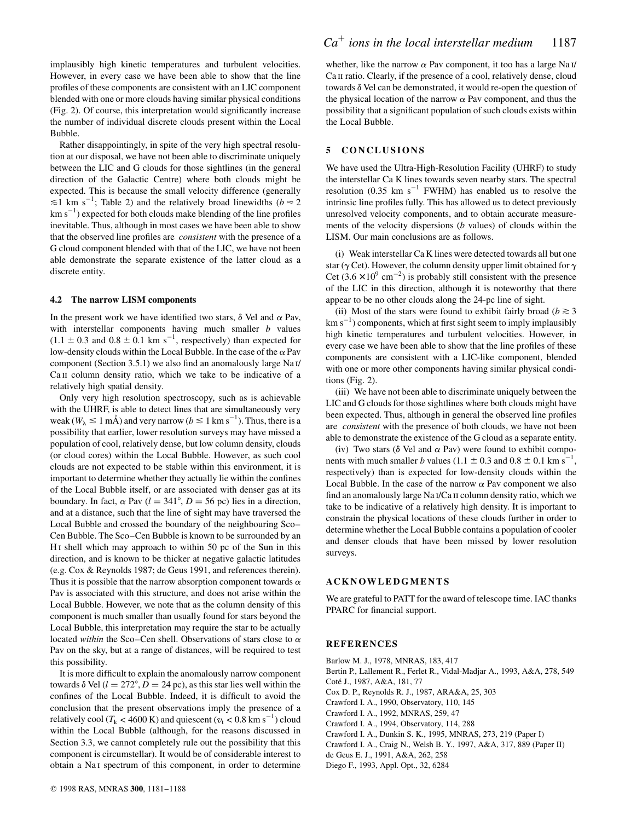implausibly high kinetic temperatures and turbulent velocities. However, in every case we have been able to show that the line profiles of these components are consistent with an LIC component blended with one or more clouds having similar physical conditions (Fig. 2). Of course, this interpretation would significantly increase the number of individual discrete clouds present within the Local Bubble.

Rather disappointingly, in spite of the very high spectral resolution at our disposal, we have not been able to discriminate uniquely between the LIC and G clouds for those sightlines (in the general direction of the Galactic Centre) where both clouds might be expected. This is because the small velocity difference (generally  $\leq 1$  km s<sup>-1</sup>; Table 2) and the relatively broad linewidths ( $b \approx 2$ )  $km s<sup>-1</sup>$ ) expected for both clouds make blending of the line profiles inevitable. Thus, although in most cases we have been able to show that the observed line profiles are *consistent* with the presence of a G cloud component blended with that of the LIC, we have not been able demonstrate the separate existence of the latter cloud as a discrete entity.

#### **4.2 The narrow LISM components**

In the present work we have identified two stars,  $\delta$  Vel and  $\alpha$  Pav, with interstellar components having much smaller *b* values  $(1.1 \pm 0.3$  and  $0.8 \pm 0.1$  km s<sup>-1</sup>, respectively) than expected for low-density clouds within the Local Bubble. In the case of the  $\alpha$  Pav component (Section 3.5.1) we also find an anomalously large Na i/ Ca II column density ratio, which we take to be indicative of a relatively high spatial density.

Only very high resolution spectroscopy, such as is achievable with the UHRF, is able to detect lines that are simultaneously very weak ( $W_{\lambda} \lesssim 1$  mÅ) and very narrow ( $b \lesssim 1$  km s<sup>-1</sup>). Thus, there is a possibility that earlier, lower resolution surveys may have missed a population of cool, relatively dense, but low column density, clouds (or cloud cores) within the Local Bubble. However, as such cool clouds are not expected to be stable within this environment, it is important to determine whether they actually lie within the confines of the Local Bubble itself, or are associated with denser gas at its boundary. In fact,  $\alpha$  Pav ( $l = 341^{\circ}$ ,  $D = 56$  pc) lies in a direction, and at a distance, such that the line of sight may have traversed the Local Bubble and crossed the boundary of the neighbouring Sco– Cen Bubble. The Sco–Cen Bubble is known to be surrounded by an H<sub>I</sub> shell which may approach to within 50 pc of the Sun in this direction, and is known to be thicker at negative galactic latitudes (e.g. Cox & Reynolds 1987; de Geus 1991, and references therein). Thus it is possible that the narrow absorption component towards  $\alpha$ Pav is associated with this structure, and does not arise within the Local Bubble. However, we note that as the column density of this component is much smaller than usually found for stars beyond the Local Bubble, this interpretation may require the star to be actually located *within* the Sco–Cen shell. Observations of stars close to  $\alpha$ Pav on the sky, but at a range of distances, will be required to test this possibility.

It is more difficult to explain the anomalously narrow component towards  $\delta$  Vel ( $l = 272^{\circ}$ ,  $D = 24$  pc), as this star lies well within the confines of the Local Bubble. Indeed, it is difficult to avoid the conclusion that the present observations imply the presence of a relatively cool ( $T_k < 4600 \text{ K}$ ) and quiescent ( $v_t < 0.8 \text{ km s}^{-1}$ ) cloud within the Local Bubble (although, for the reasons discussed in Section 3.3, we cannot completely rule out the possibility that this component is circumstellar). It would be of considerable interest to obtain a Na<sub>I</sub> spectrum of this component, in order to determine

whether, like the narrow  $\alpha$  Pav component, it too has a large Na<sub>I</sub>/ Ca II ratio. Clearly, if the presence of a cool, relatively dense, cloud towards  $\delta$  Vel can be demonstrated, it would re-open the question of the physical location of the narrow  $\alpha$  Pav component, and thus the possibility that a significant population of such clouds exists within the Local Bubble.

#### **5 CONCLUSIONS**

We have used the Ultra-High-Resolution Facility (UHRF) to study the interstellar Ca K lines towards seven nearby stars. The spectral resolution (0.35 km  $s^{-1}$  FWHM) has enabled us to resolve the intrinsic line profiles fully. This has allowed us to detect previously unresolved velocity components, and to obtain accurate measurements of the velocity dispersions (*b* values) of clouds within the LISM. Our main conclusions are as follows.

(i) Weak interstellar Ca K lines were detected towards all but one star ( $\gamma$  Cet). However, the column density upper limit obtained for  $\gamma$ Cet  $(3.6 \times 10^{9} \text{ cm}^{-2})$  is probably still consistent with the presence of the LIC in this direction, although it is noteworthy that there appear to be no other clouds along the 24-pc line of sight.

(ii) Most of the stars were found to exhibit fairly broad ( $b \ge 3$ ) km  $s^{-1}$ ) components, which at first sight seem to imply implausibly high kinetic temperatures and turbulent velocities. However, in every case we have been able to show that the line profiles of these components are consistent with a LIC-like component, blended with one or more other components having similar physical conditions (Fig. 2).

(iii) We have not been able to discriminate uniquely between the LIC and G clouds for those sightlines where both clouds might have been expected. Thus, although in general the observed line profiles are *consistent* with the presence of both clouds, we have not been able to demonstrate the existence of the G cloud as a separate entity.

(iv) Two stars ( $\delta$  Vel and  $\alpha$  Pav) were found to exhibit components with much smaller *b* values  $(1.1 \pm 0.3 \text{ and } 0.8 \pm 0.1 \text{ km s}^{-1})$ , respectively) than is expected for low-density clouds within the Local Bubble. In the case of the narrow  $\alpha$  Pav component we also find an anomalously large Na i/Ca ii column density ratio, which we take to be indicative of a relatively high density. It is important to constrain the physical locations of these clouds further in order to determine whether the Local Bubble contains a population of cooler and denser clouds that have been missed by lower resolution surveys.

# **ACKNOWLEDGMENTS**

We are grateful to PATT for the award of telescope time. IAC thanks PPARC for financial support.

#### **REFERENCES**

Barlow M. J., 1978, MNRAS, 183, 417 Bertin P., Lallement R., Ferlet R., Vidal-Madjar A., 1993, A&A, 278, 549 Coté J., 1987, A&A, 181, 77 Cox D. P., Reynolds R. J., 1987, ARA&A, 25, 303 Crawford I. A., 1990, Observatory, 110, 145 Crawford I. A., 1992, MNRAS, 259, 47 Crawford I. A., 1994, Observatory, 114, 288 Crawford I. A., Dunkin S. K., 1995, MNRAS, 273, 219 (Paper I) Crawford I. A., Craig N., Welsh B. Y., 1997, A&A, 317, 889 (Paper II) de Geus E. J., 1991, A&A, 262, 258 Diego F., 1993, Appl. Opt., 32, 6284